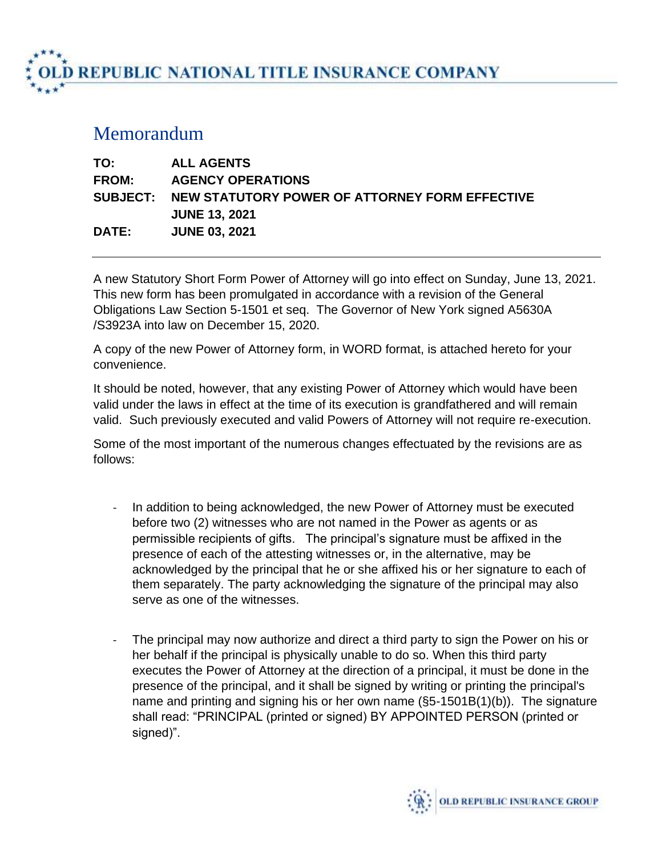**D REPUBLIC NATIONAL TITLE INSURANCE COMPANY** 

## Memorandum

| TO:          | <b>ALL AGENTS</b>                                       |
|--------------|---------------------------------------------------------|
| <b>FROM:</b> | <b>AGENCY OPERATIONS</b>                                |
|              | SUBJECT: NEW STATUTORY POWER OF ATTORNEY FORM EFFECTIVE |
|              | <b>JUNE 13, 2021</b>                                    |
| <b>DATE:</b> | <b>JUNE 03, 2021</b>                                    |

A new Statutory Short Form Power of Attorney will go into effect on Sunday, June 13, 2021. This new form has been promulgated in accordance with a revision of the General Obligations Law Section 5-1501 et seq. The Governor of New York signed A5630A /S3923A into law on December 15, 2020.

A copy of the new Power of Attorney form, in WORD format, is attached hereto for your convenience.

It should be noted, however, that any existing Power of Attorney which would have been valid under the laws in effect at the time of its execution is grandfathered and will remain valid. Such previously executed and valid Powers of Attorney will not require re-execution.

Some of the most important of the numerous changes effectuated by the revisions are as follows:

- In addition to being acknowledged, the new Power of Attorney must be executed before two (2) witnesses who are not named in the Power as agents or as permissible recipients of gifts. The principal's signature must be affixed in the presence of each of the attesting witnesses or, in the alternative, may be acknowledged by the principal that he or she affixed his or her signature to each of them separately. The party acknowledging the signature of the principal may also serve as one of the witnesses.
- The principal may now authorize and direct a third party to sign the Power on his or her behalf if the principal is physically unable to do so. When this third party executes the Power of Attorney at the direction of a principal, it must be done in the presence of the principal, and it shall be signed by writing or printing the principal's name and printing and signing his or her own name (§5-1501B(1)(b)). The signature shall read: "PRINCIPAL (printed or signed) BY APPOINTED PERSON (printed or signed)".

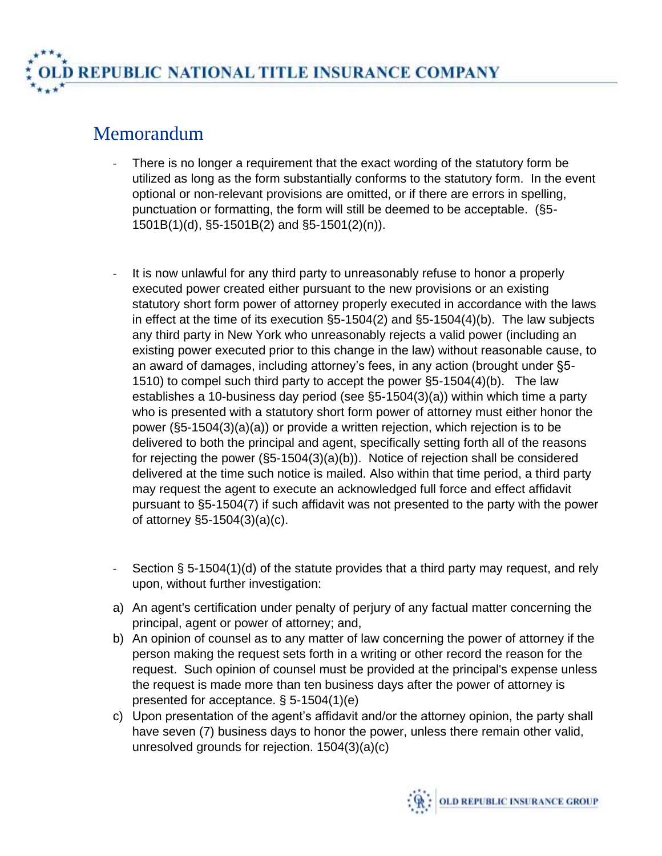## Memorandum

- There is no longer a requirement that the exact wording of the statutory form be utilized as long as the form substantially conforms to the statutory form. In the event optional or non-relevant provisions are omitted, or if there are errors in spelling, punctuation or formatting, the form will still be deemed to be acceptable. (§5- 1501B(1)(d), §5-1501B(2) and §5-1501(2)(n)).
- It is now unlawful for any third party to unreasonably refuse to honor a properly executed power created either pursuant to the new provisions or an existing statutory short form power of attorney properly executed in accordance with the laws in effect at the time of its execution §5-1504(2) and §5-1504(4)(b). The law subjects any third party in New York who unreasonably rejects a valid power (including an existing power executed prior to this change in the law) without reasonable cause, to an award of damages, including attorney's fees, in any action (brought under §5- 1510) to compel such third party to accept the power §5-1504(4)(b). The law establishes a 10-business day period (see §5-1504(3)(a)) within which time a party who is presented with a statutory short form power of attorney must either honor the power (§5-1504(3)(a)(a)) or provide a written rejection, which rejection is to be delivered to both the principal and agent, specifically setting forth all of the reasons for rejecting the power (§5-1504(3)(a)(b)). Notice of rejection shall be considered delivered at the time such notice is mailed. Also within that time period, a third party may request the agent to execute an acknowledged full force and effect affidavit pursuant to §5-1504(7) if such affidavit was not presented to the party with the power of attorney §5-1504(3)(a)(c).
- Section § 5-1504(1)(d) of the statute provides that a third party may request, and rely upon, without further investigation:
- a) An agent's certification under penalty of perjury of any factual matter concerning the principal, agent or power of attorney; and,
- b) An opinion of counsel as to any matter of law concerning the power of attorney if the person making the request sets forth in a writing or other record the reason for the request. Such opinion of counsel must be provided at the principal's expense unless the request is made more than ten business days after the power of attorney is presented for acceptance. § 5-1504(1)(e)
- c) Upon presentation of the agent's affidavit and/or the attorney opinion, the party shall have seven (7) business days to honor the power, unless there remain other valid, unresolved grounds for rejection. 1504(3)(a)(c)

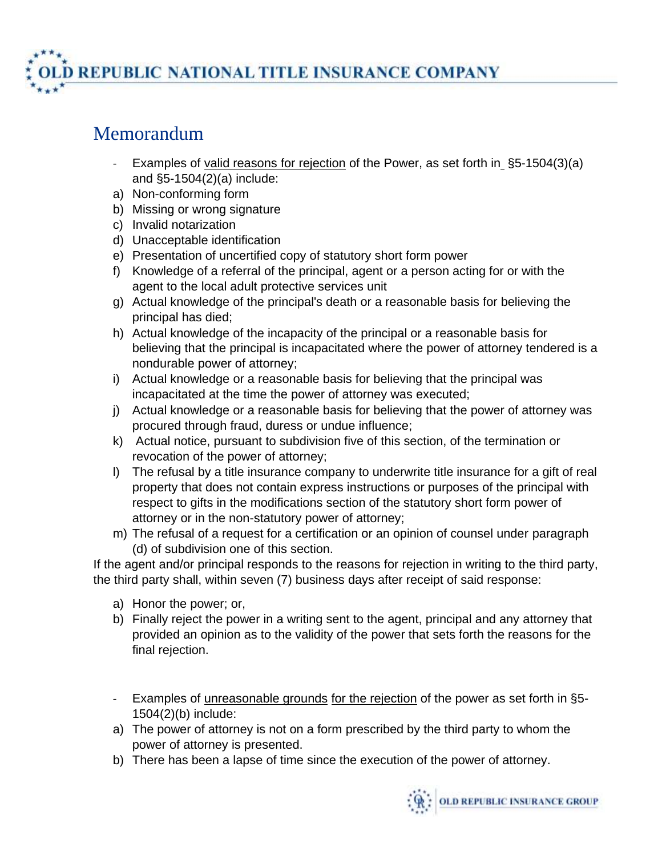**D REPUBLIC NATIONAL TITLE INSURANCE COMPANY** 

## Memorandum

- Examples of valid reasons for rejection of the Power, as set forth in §5-1504(3)(a) and §5-1504(2)(a) include:
- a) Non-conforming form
- b) Missing or wrong signature
- c) Invalid notarization
- d) Unacceptable identification
- e) Presentation of uncertified copy of statutory short form power
- f) Knowledge of a referral of the principal, agent or a person acting for or with the agent to the local adult protective services unit
- g) Actual knowledge of the principal's death or a reasonable basis for believing the principal has died;
- h) Actual knowledge of the incapacity of the principal or a reasonable basis for believing that the principal is incapacitated where the power of attorney tendered is a nondurable power of attorney;
- i) Actual knowledge or a reasonable basis for believing that the principal was incapacitated at the time the power of attorney was executed;
- j) Actual knowledge or a reasonable basis for believing that the power of attorney was procured through fraud, duress or undue influence;
- k) Actual notice, pursuant to subdivision five of this section, of the termination or revocation of the power of attorney;
- l) The refusal by a title insurance company to underwrite title insurance for a gift of real property that does not contain express instructions or purposes of the principal with respect to gifts in the modifications section of the statutory short form power of attorney or in the non-statutory power of attorney;
- m) The refusal of a request for a certification or an opinion of counsel under paragraph (d) of subdivision one of this section.

If the agent and/or principal responds to the reasons for rejection in writing to the third party, the third party shall, within seven (7) business days after receipt of said response:

- a) Honor the power; or,
- b) Finally reject the power in a writing sent to the agent, principal and any attorney that provided an opinion as to the validity of the power that sets forth the reasons for the final rejection.
- Examples of unreasonable grounds for the rejection of the power as set forth in §5-1504(2)(b) include:
- a) The power of attorney is not on a form prescribed by the third party to whom the power of attorney is presented.
- b) There has been a lapse of time since the execution of the power of attorney.